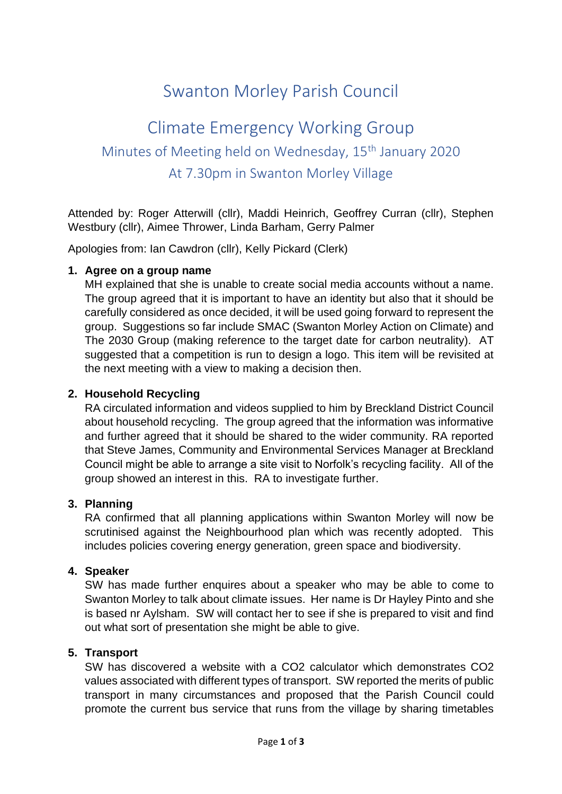# Swanton Morley Parish Council

# Climate Emergency Working Group Minutes of Meeting held on Wednesday, 15th January 2020 At 7.30pm in Swanton Morley Village

Attended by: Roger Atterwill (cllr), Maddi Heinrich, Geoffrey Curran (cllr), Stephen Westbury (cllr), Aimee Thrower, Linda Barham, Gerry Palmer

Apologies from: Ian Cawdron (cllr), Kelly Pickard (Clerk)

#### **1. Agree on a group name**

MH explained that she is unable to create social media accounts without a name. The group agreed that it is important to have an identity but also that it should be carefully considered as once decided, it will be used going forward to represent the group. Suggestions so far include SMAC (Swanton Morley Action on Climate) and The 2030 Group (making reference to the target date for carbon neutrality). AT suggested that a competition is run to design a logo. This item will be revisited at the next meeting with a view to making a decision then.

#### **2. Household Recycling**

RA circulated information and videos supplied to him by Breckland District Council about household recycling. The group agreed that the information was informative and further agreed that it should be shared to the wider community. RA reported that Steve James, Community and Environmental Services Manager at Breckland Council might be able to arrange a site visit to Norfolk's recycling facility. All of the group showed an interest in this. RA to investigate further.

## **3. Planning**

RA confirmed that all planning applications within Swanton Morley will now be scrutinised against the Neighbourhood plan which was recently adopted. This includes policies covering energy generation, green space and biodiversity.

#### **4. Speaker**

SW has made further enquires about a speaker who may be able to come to Swanton Morley to talk about climate issues. Her name is Dr Hayley Pinto and she is based nr Aylsham. SW will contact her to see if she is prepared to visit and find out what sort of presentation she might be able to give.

#### **5. Transport**

SW has discovered a website with a CO2 calculator which demonstrates CO2 values associated with different types of transport. SW reported the merits of public transport in many circumstances and proposed that the Parish Council could promote the current bus service that runs from the village by sharing timetables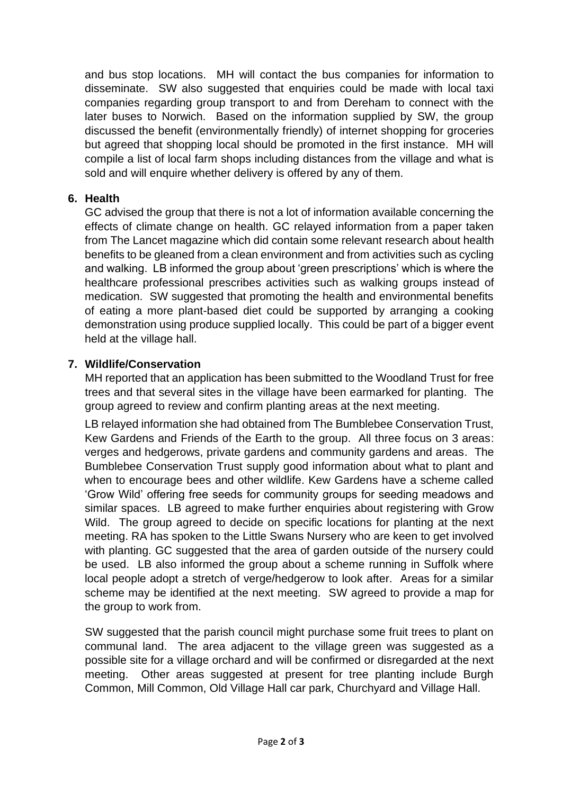and bus stop locations. MH will contact the bus companies for information to disseminate. SW also suggested that enquiries could be made with local taxi companies regarding group transport to and from Dereham to connect with the later buses to Norwich. Based on the information supplied by SW, the group discussed the benefit (environmentally friendly) of internet shopping for groceries but agreed that shopping local should be promoted in the first instance. MH will compile a list of local farm shops including distances from the village and what is sold and will enquire whether delivery is offered by any of them.

## **6. Health**

GC advised the group that there is not a lot of information available concerning the effects of climate change on health. GC relayed information from a paper taken from The Lancet magazine which did contain some relevant research about health benefits to be gleaned from a clean environment and from activities such as cycling and walking. LB informed the group about 'green prescriptions' which is where the healthcare professional prescribes activities such as walking groups instead of medication. SW suggested that promoting the health and environmental benefits of eating a more plant-based diet could be supported by arranging a cooking demonstration using produce supplied locally. This could be part of a bigger event held at the village hall.

## **7. Wildlife/Conservation**

MH reported that an application has been submitted to the Woodland Trust for free trees and that several sites in the village have been earmarked for planting. The group agreed to review and confirm planting areas at the next meeting.

LB relayed information she had obtained from The Bumblebee Conservation Trust, Kew Gardens and Friends of the Earth to the group. All three focus on 3 areas: verges and hedgerows, private gardens and community gardens and areas. The Bumblebee Conservation Trust supply good information about what to plant and when to encourage bees and other wildlife. Kew Gardens have a scheme called 'Grow Wild' offering free seeds for community groups for seeding meadows and similar spaces. LB agreed to make further enquiries about registering with Grow Wild. The group agreed to decide on specific locations for planting at the next meeting. RA has spoken to the Little Swans Nursery who are keen to get involved with planting. GC suggested that the area of garden outside of the nursery could be used. LB also informed the group about a scheme running in Suffolk where local people adopt a stretch of verge/hedgerow to look after. Areas for a similar scheme may be identified at the next meeting. SW agreed to provide a map for the group to work from.

SW suggested that the parish council might purchase some fruit trees to plant on communal land. The area adjacent to the village green was suggested as a possible site for a village orchard and will be confirmed or disregarded at the next meeting. Other areas suggested at present for tree planting include Burgh Common, Mill Common, Old Village Hall car park, Churchyard and Village Hall.